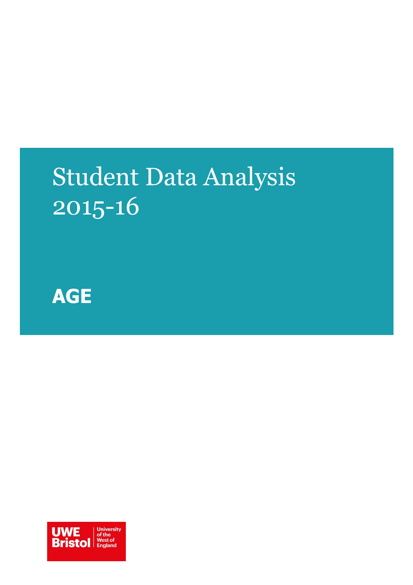# Student Data Analysis 2015-16



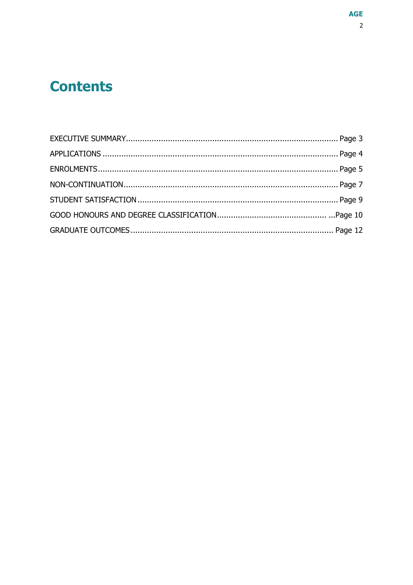## **Contents**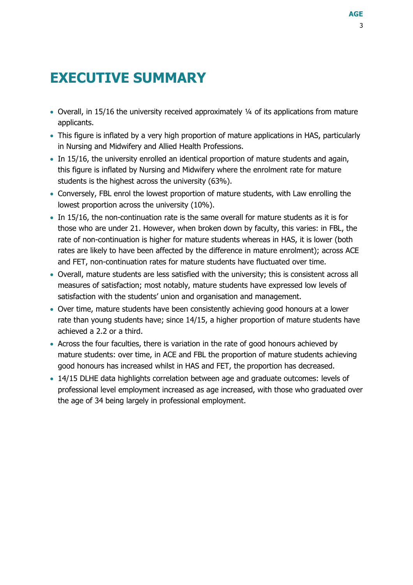## <span id="page-2-0"></span>**EXECUTIVE SUMMARY**

- Overall, in 15/16 the university received approximately ¼ of its applications from mature applicants.
- This figure is inflated by a very high proportion of mature applications in HAS, particularly in Nursing and Midwifery and Allied Health Professions.
- In 15/16, the university enrolled an identical proportion of mature students and again, this figure is inflated by Nursing and Midwifery where the enrolment rate for mature students is the highest across the university (63%).
- Conversely, FBL enrol the lowest proportion of mature students, with Law enrolling the lowest proportion across the university (10%).
- In 15/16, the non-continuation rate is the same overall for mature students as it is for those who are under 21. However, when broken down by faculty, this varies: in FBL, the rate of non-continuation is higher for mature students whereas in HAS, it is lower (both rates are likely to have been affected by the difference in mature enrolment); across ACE and FET, non-continuation rates for mature students have fluctuated over time.
- Overall, mature students are less satisfied with the university; this is consistent across all measures of satisfaction; most notably, mature students have expressed low levels of satisfaction with the students' union and organisation and management.
- Over time, mature students have been consistently achieving good honours at a lower rate than young students have; since 14/15, a higher proportion of mature students have achieved a 2.2 or a third.
- Across the four faculties, there is variation in the rate of good honours achieved by mature students: over time, in ACE and FBL the proportion of mature students achieving good honours has increased whilst in HAS and FET, the proportion has decreased.
- 14/15 DLHE data highlights correlation between age and graduate outcomes: levels of professional level employment increased as age increased, with those who graduated over the age of 34 being largely in professional employment.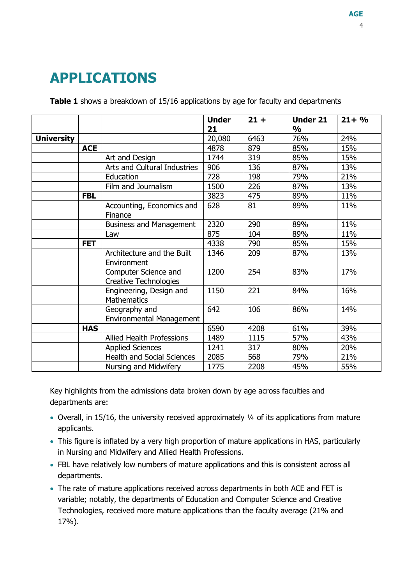## <span id="page-3-0"></span>**APPLICATIONS**

**Table 1** shows a breakdown of 15/16 applications by age for faculty and departments

|                   |            |                                                      | <b>Under</b><br>21 | $21 +$ | <b>Under 21</b><br>$\frac{0}{0}$ | $21 + %$ |
|-------------------|------------|------------------------------------------------------|--------------------|--------|----------------------------------|----------|
| <b>University</b> |            |                                                      | 20,080             | 6463   | 76%                              | 24%      |
|                   | <b>ACE</b> |                                                      | 4878               | 879    | 85%                              | 15%      |
|                   |            | Art and Design                                       | 1744               | 319    | 85%                              | 15%      |
|                   |            | Arts and Cultural Industries                         | 906                | 136    | 87%                              | 13%      |
|                   |            | Education                                            | 728                | 198    | 79%                              | 21%      |
|                   |            | Film and Journalism                                  | 1500               | 226    | 87%                              | 13%      |
|                   | <b>FBL</b> |                                                      | 3823               | 475    | 89%                              | 11%      |
|                   |            | Accounting, Economics and<br>Finance                 | 628                | 81     | 89%                              | 11%      |
|                   |            | <b>Business and Management</b>                       | 2320               | 290    | 89%                              | 11%      |
|                   |            | Law                                                  | 875                | 104    | 89%                              | 11%      |
|                   | <b>FET</b> |                                                      | 4338               | 790    | 85%                              | 15%      |
|                   |            | Architecture and the Built<br>Environment            | 1346               | 209    | 87%                              | 13%      |
|                   |            | Computer Science and<br><b>Creative Technologies</b> | 1200               | 254    | 83%                              | 17%      |
|                   |            | Engineering, Design and<br><b>Mathematics</b>        | 1150               | 221    | 84%                              | 16%      |
|                   |            | Geography and<br><b>Environmental Management</b>     | 642                | 106    | 86%                              | 14%      |
|                   | <b>HAS</b> |                                                      | 6590               | 4208   | 61%                              | 39%      |
|                   |            | <b>Allied Health Professions</b>                     | 1489               | 1115   | 57%                              | 43%      |
|                   |            | <b>Applied Sciences</b>                              | 1241               | 317    | 80%                              | 20%      |
|                   |            | <b>Health and Social Sciences</b>                    | 2085               | 568    | 79%                              | 21%      |
|                   |            | Nursing and Midwifery                                | 1775               | 2208   | 45%                              | 55%      |

Key highlights from the admissions data broken down by age across faculties and departments are:

- Overall, in 15/16, the university received approximately ¼ of its applications from mature applicants.
- This figure is inflated by a very high proportion of mature applications in HAS, particularly in Nursing and Midwifery and Allied Health Professions.
- FBL have relatively low numbers of mature applications and this is consistent across all departments.
- The rate of mature applications received across departments in both ACE and FET is variable; notably, the departments of Education and Computer Science and Creative Technologies, received more mature applications than the faculty average (21% and 17%).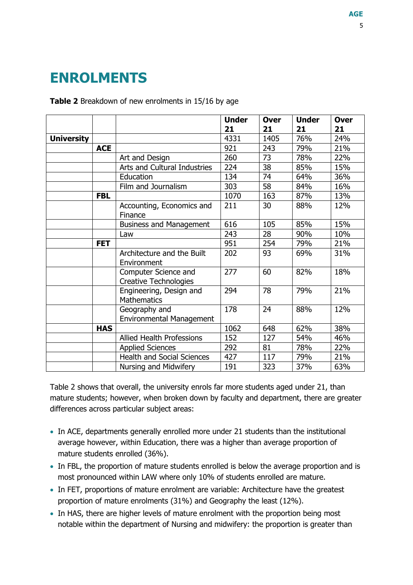## <span id="page-4-0"></span>**ENROLMENTS**

#### **Table 2** Breakdown of new enrolments in 15/16 by age

|                   |            |                                                      | <b>Under</b> | <b>Over</b><br>21 | <b>Under</b> | <b>Over</b> |
|-------------------|------------|------------------------------------------------------|--------------|-------------------|--------------|-------------|
|                   |            |                                                      | 21<br>4331   | 1405              | 21<br>76%    | 21<br>24%   |
| <b>University</b> |            |                                                      |              |                   |              |             |
|                   | <b>ACE</b> |                                                      | 921          | 243               | 79%          | 21%         |
|                   |            | Art and Design                                       | 260          | 73                | 78%          | 22%         |
|                   |            | Arts and Cultural Industries                         | 224          | 38                | 85%          | 15%         |
|                   |            | Education                                            | 134          | 74                | 64%          | 36%         |
|                   |            | Film and Journalism                                  | 303          | 58                | 84%          | 16%         |
|                   | <b>FBL</b> |                                                      | 1070         | 163               | 87%          | 13%         |
|                   |            | Accounting, Economics and                            | 211          | 30                | 88%          | 12%         |
|                   |            | Finance                                              |              |                   |              |             |
|                   |            | <b>Business and Management</b>                       | 616          | 105               | 85%          | 15%         |
|                   |            | Law                                                  | 243          | 28                | 90%          | 10%         |
|                   | <b>FET</b> |                                                      | 951          | 254               | 79%          | 21%         |
|                   |            | Architecture and the Built<br>Environment            | 202          | 93                | 69%          | 31%         |
|                   |            | Computer Science and<br><b>Creative Technologies</b> | 277          | 60                | 82%          | 18%         |
|                   |            | Engineering, Design and<br><b>Mathematics</b>        | 294          | 78                | 79%          | 21%         |
|                   |            | Geography and<br><b>Environmental Management</b>     | 178          | 24                | 88%          | 12%         |
|                   | <b>HAS</b> |                                                      | 1062         | 648               | 62%          | 38%         |
|                   |            | <b>Allied Health Professions</b>                     | 152          | 127               | 54%          | 46%         |
|                   |            | <b>Applied Sciences</b>                              | 292          | 81                | 78%          | 22%         |
|                   |            | <b>Health and Social Sciences</b>                    | 427          | 117               | 79%          | 21%         |
|                   |            | Nursing and Midwifery                                | 191          | 323               | 37%          | 63%         |

Table 2 shows that overall, the university enrols far more students aged under 21, than mature students; however, when broken down by faculty and department, there are greater differences across particular subject areas:

- In ACE, departments generally enrolled more under 21 students than the institutional average however, within Education, there was a higher than average proportion of mature students enrolled (36%).
- In FBL, the proportion of mature students enrolled is below the average proportion and is most pronounced within LAW where only 10% of students enrolled are mature.
- In FET, proportions of mature enrolment are variable: Architecture have the greatest proportion of mature enrolments (31%) and Geography the least (12%).
- In HAS, there are higher levels of mature enrolment with the proportion being most notable within the department of Nursing and midwifery: the proportion is greater than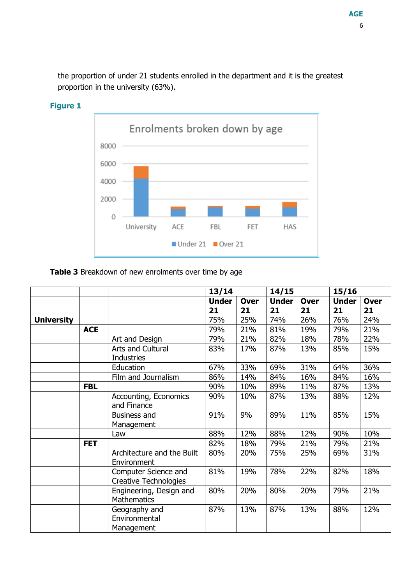the proportion of under 21 students enrolled in the department and it is the greatest proportion in the university (63%).



#### **Figure 1**

#### **Table 3** Breakdown of new enrolments over time by age

|                   |            |                                               | 13/14              |                   | 14/15              |                   | 15/16              |                   |
|-------------------|------------|-----------------------------------------------|--------------------|-------------------|--------------------|-------------------|--------------------|-------------------|
|                   |            |                                               | <b>Under</b><br>21 | <b>Over</b><br>21 | <b>Under</b><br>21 | <b>Over</b><br>21 | <b>Under</b><br>21 | <b>Over</b><br>21 |
| <b>University</b> |            |                                               | 75%                | 25%               | 74%                | 26%               | 76%                | 24%               |
|                   | <b>ACE</b> |                                               | 79%                | 21%               | 81%                | 19%               | 79%                | 21%               |
|                   |            | Art and Design                                | 79%                | 21%               | 82%                | 18%               | 78%                | 22%               |
|                   |            | Arts and Cultural<br><b>Industries</b>        | 83%                | 17%               | 87%                | 13%               | 85%                | 15%               |
|                   |            | Education                                     | 67%                | 33%               | 69%                | 31%               | 64%                | 36%               |
|                   |            | Film and Journalism                           | 86%                | 14%               | 84%                | 16%               | 84%                | 16%               |
|                   | <b>FBL</b> |                                               | 90%                | 10%               | 89%                | 11%               | 87%                | 13%               |
|                   |            | Accounting, Economics<br>and Finance          | 90%                | 10%               | 87%                | 13%               | 88%                | 12%               |
|                   |            | <b>Business and</b><br>Management             | 91%                | 9%                | 89%                | 11%               | 85%                | 15%               |
|                   |            | Law                                           | 88%                | 12%               | 88%                | 12%               | 90%                | 10%               |
|                   | <b>FET</b> |                                               | 82%                | 18%               | 79%                | 21%               | 79%                | 21%               |
|                   |            | Architecture and the Built<br>Environment     | 80%                | 20%               | 75%                | 25%               | 69%                | 31%               |
|                   |            | Computer Science and<br>Creative Technologies | 81%                | 19%               | 78%                | 22%               | 82%                | 18%               |
|                   |            | Engineering, Design and<br><b>Mathematics</b> | 80%                | 20%               | 80%                | 20%               | 79%                | 21%               |
|                   |            | Geography and<br>Environmental<br>Management  | 87%                | 13%               | 87%                | 13%               | 88%                | 12%               |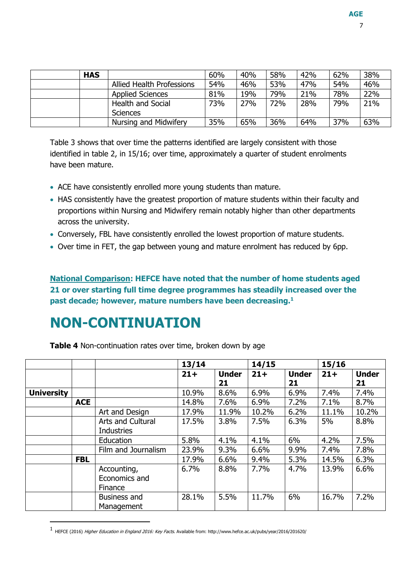| <b>HAS</b> |                                  | 60% | 40% | 58% | 42% | 62% | 38% |
|------------|----------------------------------|-----|-----|-----|-----|-----|-----|
|            | <b>Allied Health Professions</b> | 54% | 46% | 53% | 47% | 54% | 46% |
|            | <b>Applied Sciences</b>          | 81% | 19% | 79% | 21% | 78% | 22% |
|            | <b>Health and Social</b>         | 73% | 27% | 72% | 28% | 79% | 21% |
|            | <b>Sciences</b>                  |     |     |     |     |     |     |
|            | Nursing and Midwifery            | 35% | 65% | 36% | 64% | 37% | 63% |

Table 3 shows that over time the patterns identified are largely consistent with those identified in table 2, in 15/16; over time, approximately a quarter of student enrolments have been mature.

- ACE have consistently enrolled more young students than mature.
- HAS consistently have the greatest proportion of mature students within their faculty and proportions within Nursing and Midwifery remain notably higher than other departments across the university.
- Conversely, FBL have consistently enrolled the lowest proportion of mature students.
- Over time in FET, the gap between young and mature enrolment has reduced by 6pp.

**National Comparison: HEFCE have noted that the number of home students aged 21 or over starting full time degree programmes has steadily increased over the past decade; however, mature numbers have been decreasing.<sup>1</sup>**

## <span id="page-6-0"></span>**NON-CONTINUATION**

-

**Table 4** Non-continuation rates over time, broken down by age

|                   |            |                     | 13/14  |              | 14/15  |              | 15/16  |              |
|-------------------|------------|---------------------|--------|--------------|--------|--------------|--------|--------------|
|                   |            |                     | $21 +$ | <b>Under</b> | $21 +$ | <b>Under</b> | $21 +$ | <b>Under</b> |
|                   |            |                     |        | 21           |        | 21           |        | 21           |
| <b>University</b> |            |                     | 10.9%  | 8.6%         | 6.9%   | 6.9%         | 7.4%   | 7.4%         |
|                   | <b>ACE</b> |                     | 14.8%  | 7.6%         | 6.9%   | 7.2%         | 7.1%   | 8.7%         |
|                   |            | Art and Design      | 17.9%  | 11.9%        | 10.2%  | 6.2%         | 11.1%  | 10.2%        |
|                   |            | Arts and Cultural   | 17.5%  | 3.8%         | 7.5%   | 6.3%         | 5%     | 8.8%         |
|                   |            | <b>Industries</b>   |        |              |        |              |        |              |
|                   |            | Education           | 5.8%   | 4.1%         | 4.1%   | 6%           | 4.2%   | 7.5%         |
|                   |            | Film and Journalism | 23.9%  | 9.3%         | 6.6%   | 9.9%         | 7.4%   | 7.8%         |
|                   | <b>FBL</b> |                     | 17.9%  | 6.6%         | 9.4%   | 5.3%         | 14.5%  | 6.3%         |
|                   |            | Accounting,         | 6.7%   | 8.8%         | 7.7%   | 4.7%         | 13.9%  | 6.6%         |
|                   |            | Economics and       |        |              |        |              |        |              |
|                   |            | Finance             |        |              |        |              |        |              |
|                   |            | Business and        | 28.1%  | 5.5%         | 11.7%  | 6%           | 16.7%  | 7.2%         |
|                   |            | Management          |        |              |        |              |        |              |

<sup>1&</sup>lt;br>HEFCE (2016) *Higher Education in England 2016: Key Facts*. Available from: http://www.hefce.ac.uk/pubs/year/2016/201620/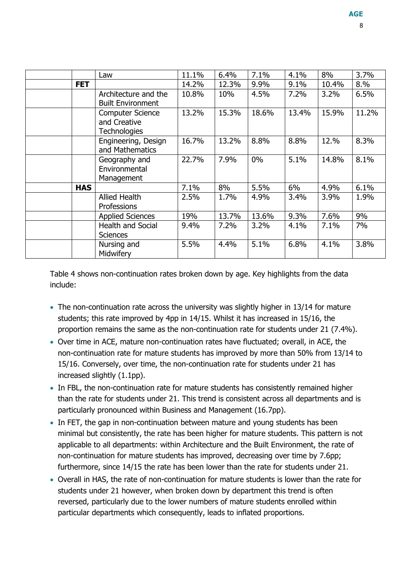|            | Law                                                            | 11.1% | 6.4%  | 7.1%  | 4.1%  | 8%    | 3.7%  |
|------------|----------------------------------------------------------------|-------|-------|-------|-------|-------|-------|
| <b>FET</b> |                                                                | 14.2% | 12.3% | 9.9%  | 9.1%  | 10.4% | 8.%   |
|            | Architecture and the<br><b>Built Environment</b>               | 10.8% | 10%   | 4.5%  | 7.2%  | 3.2%  | 6.5%  |
|            | <b>Computer Science</b><br>and Creative<br><b>Technologies</b> | 13.2% | 15.3% | 18.6% | 13.4% | 15.9% | 11.2% |
|            | Engineering, Design<br>and Mathematics                         | 16.7% | 13.2% | 8.8%  | 8.8%  | 12.%  | 8.3%  |
|            | Geography and<br>Environmental<br>Management                   | 22.7% | 7.9%  | $0\%$ | 5.1%  | 14.8% | 8.1%  |
| <b>HAS</b> |                                                                | 7.1%  | 8%    | 5.5%  | $6\%$ | 4.9%  | 6.1%  |
|            | <b>Allied Health</b><br>Professions                            | 2.5%  | 1.7%  | 4.9%  | 3.4%  | 3.9%  | 1.9%  |
|            | <b>Applied Sciences</b>                                        | 19%   | 13.7% | 13.6% | 9.3%  | 7.6%  | 9%    |
|            | <b>Health and Social</b><br>Sciences                           | 9.4%  | 7.2%  | 3.2%  | 4.1%  | 7.1%  | 7%    |
|            | Nursing and<br>Midwifery                                       | 5.5%  | 4.4%  | 5.1%  | 6.8%  | 4.1%  | 3.8%  |

Table 4 shows non-continuation rates broken down by age. Key highlights from the data include:

- The non-continuation rate across the university was slightly higher in 13/14 for mature students; this rate improved by 4pp in 14/15. Whilst it has increased in 15/16, the proportion remains the same as the non-continuation rate for students under 21 (7.4%).
- Over time in ACE, mature non-continuation rates have fluctuated; overall, in ACE, the non-continuation rate for mature students has improved by more than 50% from 13/14 to 15/16. Conversely, over time, the non-continuation rate for students under 21 has increased slightly (1.1pp).
- In FBL, the non-continuation rate for mature students has consistently remained higher than the rate for students under 21. This trend is consistent across all departments and is particularly pronounced within Business and Management (16.7pp).
- In FET, the gap in non-continuation between mature and young students has been minimal but consistently, the rate has been higher for mature students. This pattern is not applicable to all departments: within Architecture and the Built Environment, the rate of non-continuation for mature students has improved, decreasing over time by 7.6pp; furthermore, since 14/15 the rate has been lower than the rate for students under 21.
- Overall in HAS, the rate of non-continuation for mature students is lower than the rate for students under 21 however, when broken down by department this trend is often reversed, particularly due to the lower numbers of mature students enrolled within particular departments which consequently, leads to inflated proportions.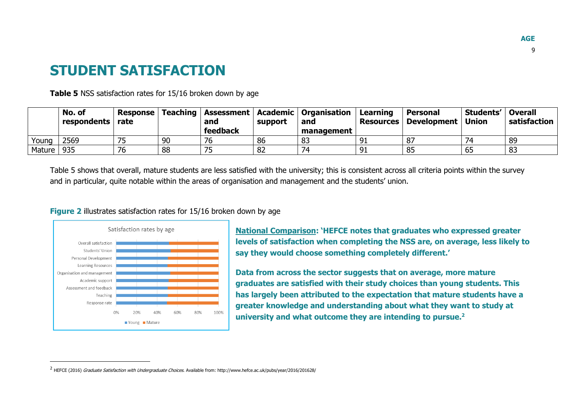#### **STUDENT SATISFACTION**

**Table 5** NSS satisfaction rates for 15/16 broken down by age

|        | No. of<br>respondents rate | Response |    | and      | support | Teaching   Assessment   Academic   Organisation  <br>and | Learning<br><b>Resources</b> | <b>Personal</b><br>Development   Union | Students'   Overall | satisfaction |
|--------|----------------------------|----------|----|----------|---------|----------------------------------------------------------|------------------------------|----------------------------------------|---------------------|--------------|
|        |                            |          |    | feedback |         | management                                               |                              |                                        |                     |              |
| Young  | 2569                       |          | 90 | 76       | 86      | 83                                                       | 91                           | 87                                     | 74                  | 89           |
| Mature | 935                        | 76       | 88 |          | 82      | 74                                                       | 91                           | 85                                     | 65                  | -83          |

Table 5 shows that overall, mature students are less satisfied with the university; this is consistent across all criteria points within the survey and in particular, quite notable within the areas of organisation and management and the students' union.

#### **Figure 2** illustrates satisfaction rates for 15/16 broken down by age

<span id="page-8-0"></span>

j

**National Comparison: 'HEFCE notes that graduates who expressed greater levels of satisfaction when completing the NSS are, on average, less likely to say they would choose something completely different.'**

**Data from across the sector suggests that on average, more mature graduates are satisfied with their study choices than young students. This has largely been attributed to the expectation that mature students have a greater knowledge and understanding about what they want to study at university and what outcome they are intending to pursue.<sup>2</sup>**

<sup>&</sup>lt;sup>2</sup> HEFCE (2016) *Graduate Satisfaction with Undergraduate Choices.* Available from: http://www.hefce.ac.uk/pubs/year/2016/201628/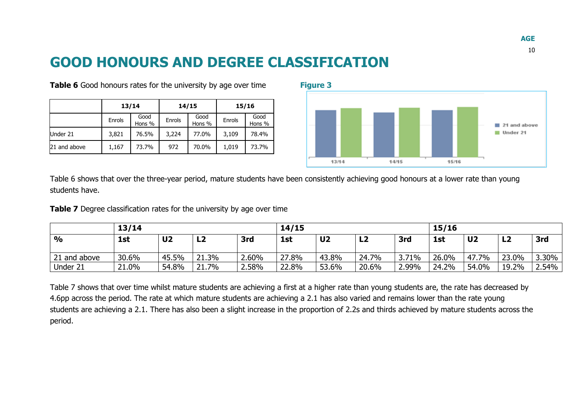#### **GOOD HONOURS AND DEGREE CLASSIFICATION**

|              |        | 13/14          |        | 14/15          | 15/16  |                |  |
|--------------|--------|----------------|--------|----------------|--------|----------------|--|
|              | Enrols | Good<br>Hons % | Enrols | Good<br>Hons % | Enrols | Good<br>Hons % |  |
| Under 21     | 3,821  | 76.5%          | 3,224  | 77.0%          | 3,109  | 78.4%          |  |
| 21 and above | 1,167  | 73.7%          | 972    | 70.0%          | 1,019  | 73.7%          |  |

**Table 6** Good honours rates for the university by age over time **Figure 3** 



Table 6 shows that over the three-year period, mature students have been consistently achieving good honours at a lower rate than young students have.

**Table 7** Degree classification rates for the university by age over time

<span id="page-9-0"></span>

|               | 13/14 |                |       |       | 14/15 |                |                |       | 15/16 |                |       |       |
|---------------|-------|----------------|-------|-------|-------|----------------|----------------|-------|-------|----------------|-------|-------|
| $\frac{1}{2}$ | 1st   | U <sub>2</sub> | LZ    | 3rd   | 1st   | U <sub>2</sub> | L <sub>2</sub> | 3rd   | 1st   | U <sub>2</sub> | LZ    | 3rd   |
| 21 and above  | 30.6% | 45.5%          | 21.3% | 2.60% | 27.8% | 43.8%          | 24.7%          | 3.71% | 26.0% | 47.7%          | 23.0% | 3.30% |
| Under 21      | 21.0% | 54.8%          | 21.7% | 2.58% | 22.8% | 53.6%          | 20.6%          | 2.99% | 24.2% | 54.0%          | 19.2% | 2.54% |

Table 7 shows that over time whilst mature students are achieving a first at a higher rate than young students are, the rate has decreased by 4.6pp across the period. The rate at which mature students are achieving a 2.1 has also varied and remains lower than the rate young students are achieving a 2.1. There has also been a slight increase in the proportion of 2.2s and thirds achieved by mature students across the period.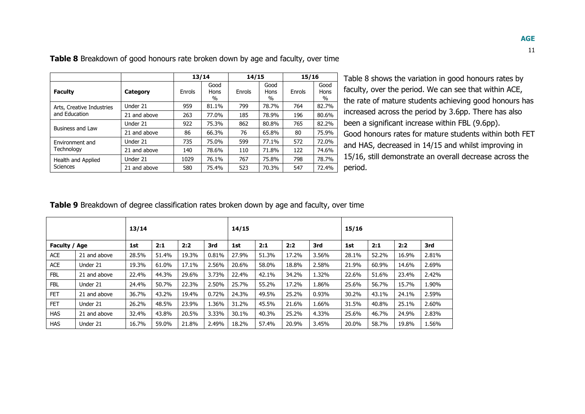| v. | PU.<br>۰ |  |
|----|----------|--|
|    |          |  |

|                           |              | 13/14  |                             | 14/15  |                      | 15/16  |                      |
|---------------------------|--------------|--------|-----------------------------|--------|----------------------|--------|----------------------|
| <b>Faculty</b>            | Category     | Enrols | Good<br><b>Hons</b><br>$\%$ | Enrols | Good<br>Hons<br>$\%$ | Enrols | Good<br>Hons<br>$\%$ |
| Arts, Creative Industries | Under 21     | 959    | 81.1%                       | 799    | 78.7%                | 764    | 82.7%                |
| and Education             | 21 and above | 263    | 77.0%                       | 185    | 78.9%                | 196    | 80.6%                |
| Business and Law          | Under 21     | 922    | 75.3%                       | 862    | 80.8%                | 765    | 82.2%                |
|                           | 21 and above | 86     | 66.3%                       | 76     | 65.8%                | 80     | 75.9%                |
| Environment and           | Under 21     | 735    | 75.0%                       | 599    | 77.1%                | 572    | 72.0%                |
| Technology                | 21 and above | 140    | 78.6%                       | 110    | 71.8%                | 122    | 74.6%                |
| Health and Applied        | Under 21     | 1029   | 76.1%                       | 767    | 75.8%                | 798    | 78.7%                |
| Sciences                  | 21 and above | 580    | 75.4%                       | 523    | 70.3%                | 547    | 72.4%                |

**Table 8** Breakdown of good honours rate broken down by age and faculty, over time

Table 8 shows the variation in good honours rates by faculty, over the period. We can see that within ACE, the rate of mature students achieving good honours has increased across the period by 3.6pp. There has also been a significant increase within FBL (9.6pp). Good honours rates for mature students within both FET and HAS, decreased in 14/15 and whilst improving in 15/16, still demonstrate an overall decrease across the period.

**Table 9** Breakdown of degree classification rates broken down by age and faculty, over time

|               |              | 13/14 |       |       |       | 14/15 |       |       |       | 15/16 |       |       |       |
|---------------|--------------|-------|-------|-------|-------|-------|-------|-------|-------|-------|-------|-------|-------|
| Faculty / Age |              | 1st   | 2:1   | 2:2   | 3rd   | 1st   | 2:1   | 2:2   | 3rd   | 1st   | 2:1   | 2:2   | 3rd   |
| <b>ACE</b>    | 21 and above | 28.5% | 51.4% | 19.3% | 0.81% | 27.9% | 51.3% | 17.2% | 3.56% | 28.1% | 52.2% | 16.9% | 2.81% |
| <b>ACE</b>    | Under 21     | 19.3% | 61.0% | 17.1% | 2.56% | 20.6% | 58.0% | 18.8% | 2.58% | 21.9% | 60.9% | 14.6% | 2.69% |
| <b>FBL</b>    | 21 and above | 22.4% | 44.3% | 29.6% | 3.73% | 22.4% | 42.1% | 34.2% | 1.32% | 22.6% | 51.6% | 23.4% | 2.42% |
| FBL           | Under 21     | 24.4% | 50.7% | 22.3% | 2.50% | 25.7% | 55.2% | 17.2% | 1.86% | 25.6% | 56.7% | 15.7% | 1.90% |
| <b>FET</b>    | 21 and above | 36.7% | 43.2% | 19.4% | 0.72% | 24.3% | 49.5% | 25.2% | 0.93% | 30.2% | 43.1% | 24.1% | 2.59% |
| <b>FET</b>    | Under 21     | 26.2% | 48.5% | 23.9% | 1.36% | 31.2% | 45.5% | 21.6% | 1.66% | 31.5% | 40.8% | 25.1% | 2.60% |
| <b>HAS</b>    | 21 and above | 32.4% | 43.8% | 20.5% | 3.33% | 30.1% | 40.3% | 25.2% | 4.33% | 25.6% | 46.7% | 24.9% | 2.83% |
| <b>HAS</b>    | Under 21     | 16.7% | 59.0% | 21.8% | 2.49% | 18.2% | 57.4% | 20.9% | 3.45% | 20.0% | 58.7% | 19.8% | 1.56% |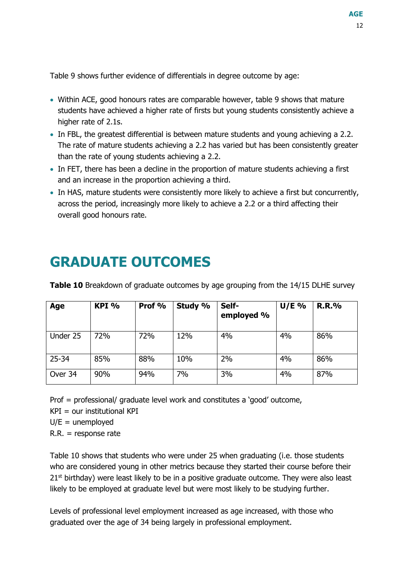Table 9 shows further evidence of differentials in degree outcome by age:

- Within ACE, good honours rates are comparable however, table 9 shows that mature students have achieved a higher rate of firsts but young students consistently achieve a higher rate of 2.1s.
- In FBL, the greatest differential is between mature students and young achieving a 2.2. The rate of mature students achieving a 2.2 has varied but has been consistently greater than the rate of young students achieving a 2.2.
- In FET, there has been a decline in the proportion of mature students achieving a first and an increase in the proportion achieving a third.
- In HAS, mature students were consistently more likely to achieve a first but concurrently, across the period, increasingly more likely to achieve a 2.2 or a third affecting their overall good honours rate.

## <span id="page-11-0"></span>**GRADUATE OUTCOMES**

| Age       | KPI % | Prof % | Study % | Self-<br>employed % | $U/E$ % | <b>R.R.%</b> |
|-----------|-------|--------|---------|---------------------|---------|--------------|
| Under 25  | 72%   | 72%    | 12%     | 4%                  | 4%      | 86%          |
| $25 - 34$ | 85%   | 88%    | 10%     | 2%                  | 4%      | 86%          |
| Over 34   | 90%   | 94%    | 7%      | 3%                  | 4%      | 87%          |

**Table 10** Breakdown of graduate outcomes by age grouping from the 14/15 DLHE survey

Prof = professional/ graduate level work and constitutes a 'good' outcome,

 $KPI = our$  institutional  $KPI$ 

 $U/E =$  unemployed

 $R.R. =$  response rate

Table 10 shows that students who were under 25 when graduating (i.e. those students who are considered young in other metrics because they started their course before their  $21<sup>st</sup>$  birthday) were least likely to be in a positive graduate outcome. They were also least likely to be employed at graduate level but were most likely to be studying further.

Levels of professional level employment increased as age increased, with those who graduated over the age of 34 being largely in professional employment.